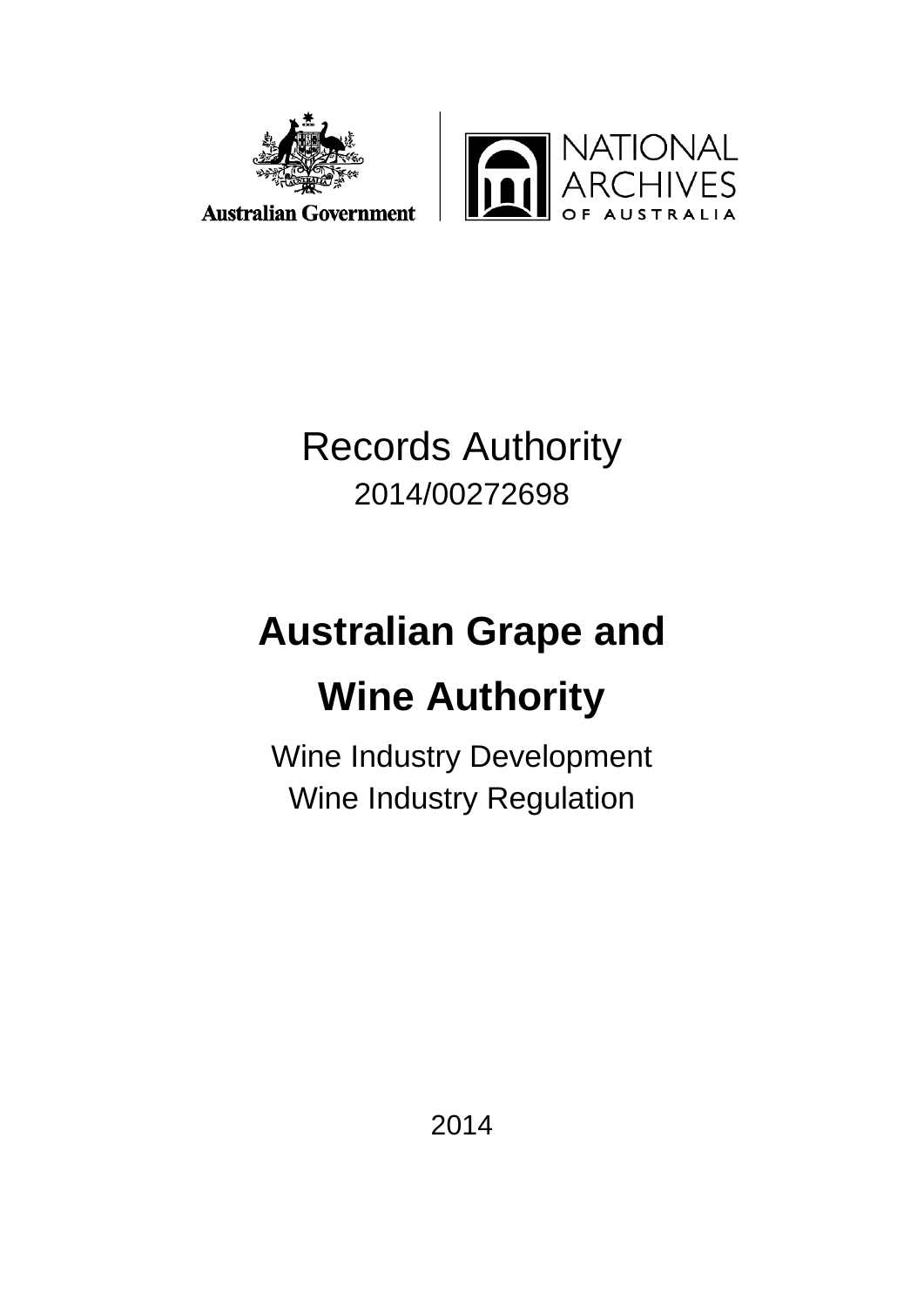



Records Authority 2014/00272698

# **Australian Grape and Wine Authority**

Wine Industry Development Wine Industry Regulation

2014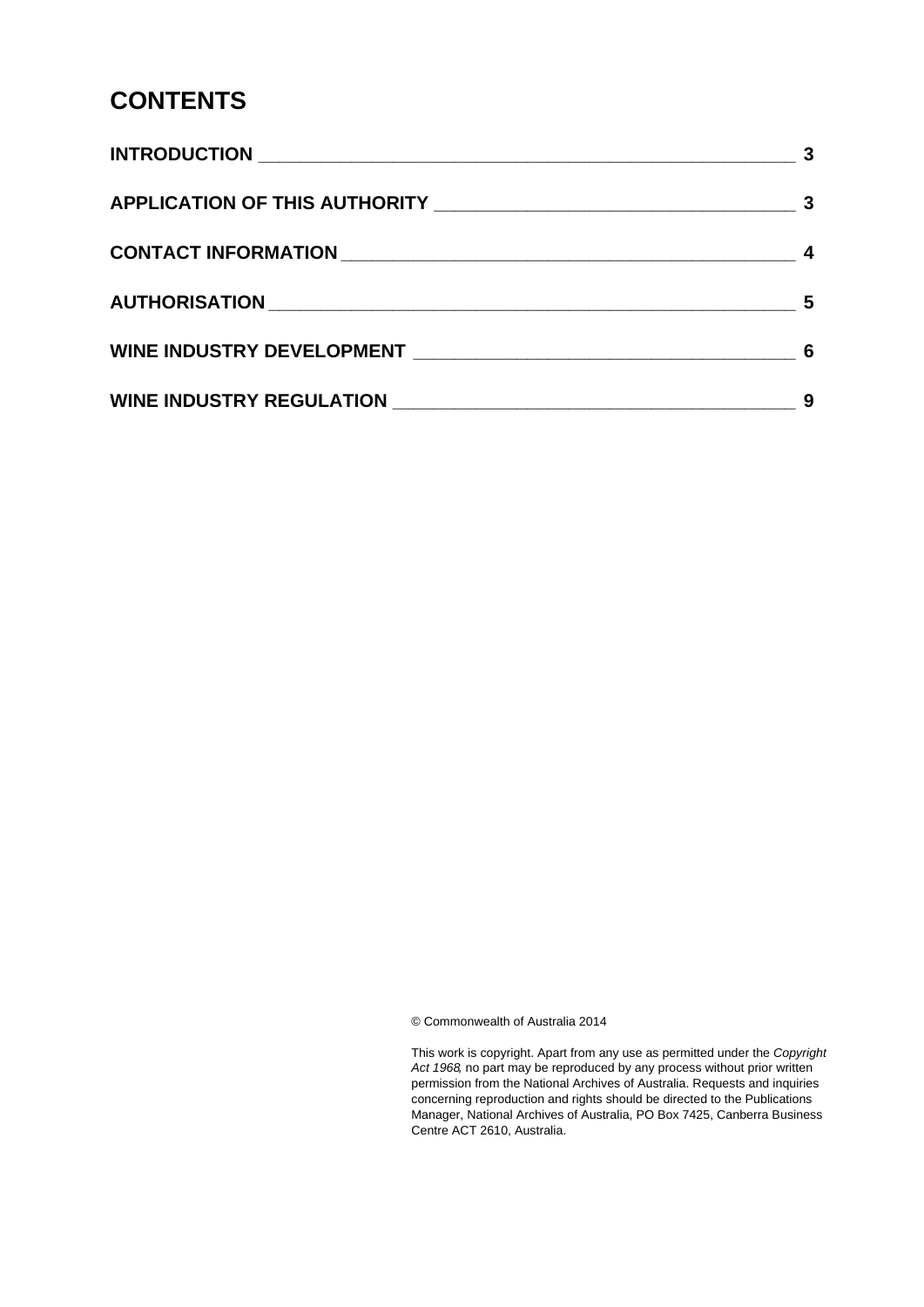#### **CONTENTS**

|                                                                                                                                                                                                                               | 3 |
|-------------------------------------------------------------------------------------------------------------------------------------------------------------------------------------------------------------------------------|---|
|                                                                                                                                                                                                                               |   |
|                                                                                                                                                                                                                               | 5 |
| WINE INDUSTRY DEVELOPMENT NARROW AND THE RESERVE OF A STREET AND THE RESERVE OF A STREET AND THE RESERVE OF A STREET AND THE RESERVE OF A STREET AND THE RESERVE OF A STREET AND THE RESERVE OF A STREET AND THE RESERVE OF A | 6 |
|                                                                                                                                                                                                                               | 9 |

© Commonwealth of Australia 2014

This work is copyright. Apart from any use as permitted under the *Copyright Act 1968,* no part may be reproduced by any process without prior written permission from the National Archives of Australia. Requests and inquiries concerning reproduction and rights should be directed to the Publications Manager, National Archives of Australia, PO Box 7425, Canberra Business Centre ACT 2610, Australia.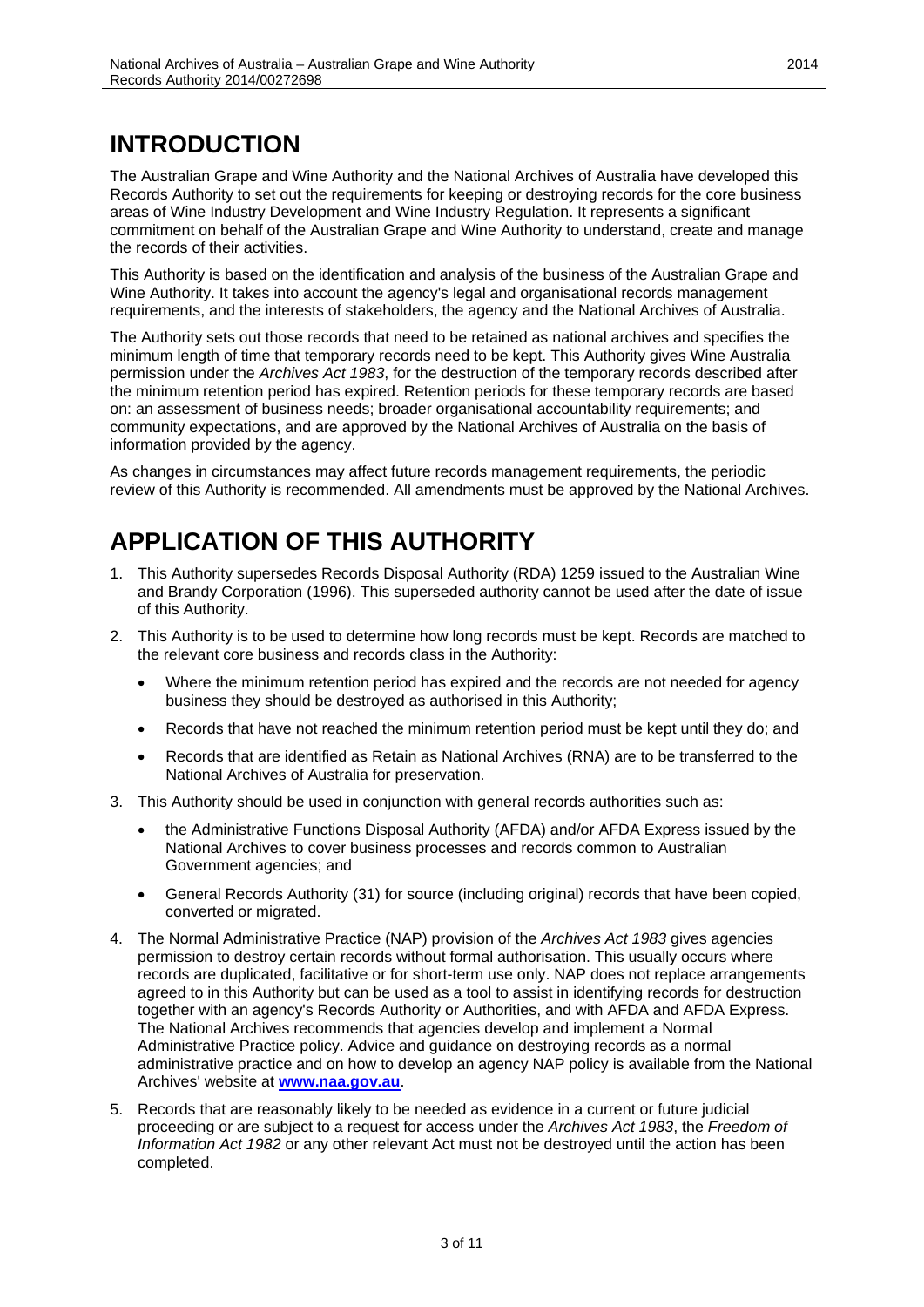# <span id="page-2-0"></span>**INTRODUCTION**

The Australian Grape and Wine Authority and the National Archives of Australia have developed this Records Authority to set out the requirements for keeping or destroying records for the core business areas of Wine Industry Development and Wine Industry Regulation. It represents a significant commitment on behalf of the Australian Grape and Wine Authority to understand, create and manage the records of their activities.

This Authority is based on the identification and analysis of the business of the Australian Grape and Wine Authority. It takes into account the agency's legal and organisational records management requirements, and the interests of stakeholders, the agency and the National Archives of Australia.

The Authority sets out those records that need to be retained as national archives and specifies the minimum length of time that temporary records need to be kept. This Authority gives Wine Australia permission under the *Archives Act 1983*, for the destruction of the temporary records described after the minimum retention period has expired. Retention periods for these temporary records are based on: an assessment of business needs; broader organisational accountability requirements; and community expectations, and are approved by the National Archives of Australia on the basis of information provided by the agency.

As changes in circumstances may affect future records management requirements, the periodic review of this Authority is recommended. All amendments must be approved by the National Archives.

# <span id="page-2-1"></span>**APPLICATION OF THIS AUTHORITY**

- 1. This Authority supersedes Records Disposal Authority (RDA) 1259 issued to the Australian Wine and Brandy Corporation (1996). This superseded authority cannot be used after the date of issue of this Authority.
- 2. This Authority is to be used to determine how long records must be kept. Records are matched to the relevant core business and records class in the Authority:
	- Where the minimum retention period has expired and the records are not needed for agency business they should be destroyed as authorised in this Authority;
	- Records that have not reached the minimum retention period must be kept until they do; and
	- Records that are identified as Retain as National Archives (RNA) are to be transferred to the National Archives of Australia for preservation.
- 3. This Authority should be used in conjunction with general records authorities such as:
	- the Administrative Functions Disposal Authority (AFDA) and/or AFDA Express issued by the National Archives to cover business processes and records common to Australian Government agencies; and
	- General Records Authority (31) for source (including original) records that have been copied, converted or migrated.
- 4. The Normal Administrative Practice (NAP) provision of the *Archives Act 1983* gives agencies permission to destroy certain records without formal authorisation. This usually occurs where records are duplicated, facilitative or for short-term use only. NAP does not replace arrangements agreed to in this Authority but can be used as a tool to assist in identifying records for destruction together with an agency's Records Authority or Authorities, and with AFDA and AFDA Express. The National Archives recommends that agencies develop and implement a Normal Administrative Practice policy. Advice and guidance on destroying records as a normal administrative practice and on how to develop an agency NAP policy is available from the National Archives' website at **[www.naa.gov.au](http://www.naa.gov.au/)**.
- 5. Records that are reasonably likely to be needed as evidence in a current or future judicial proceeding or are subject to a request for access under the *Archives Act 1983*, the *Freedom of Information Act 1982* or any other relevant Act must not be destroyed until the action has been completed.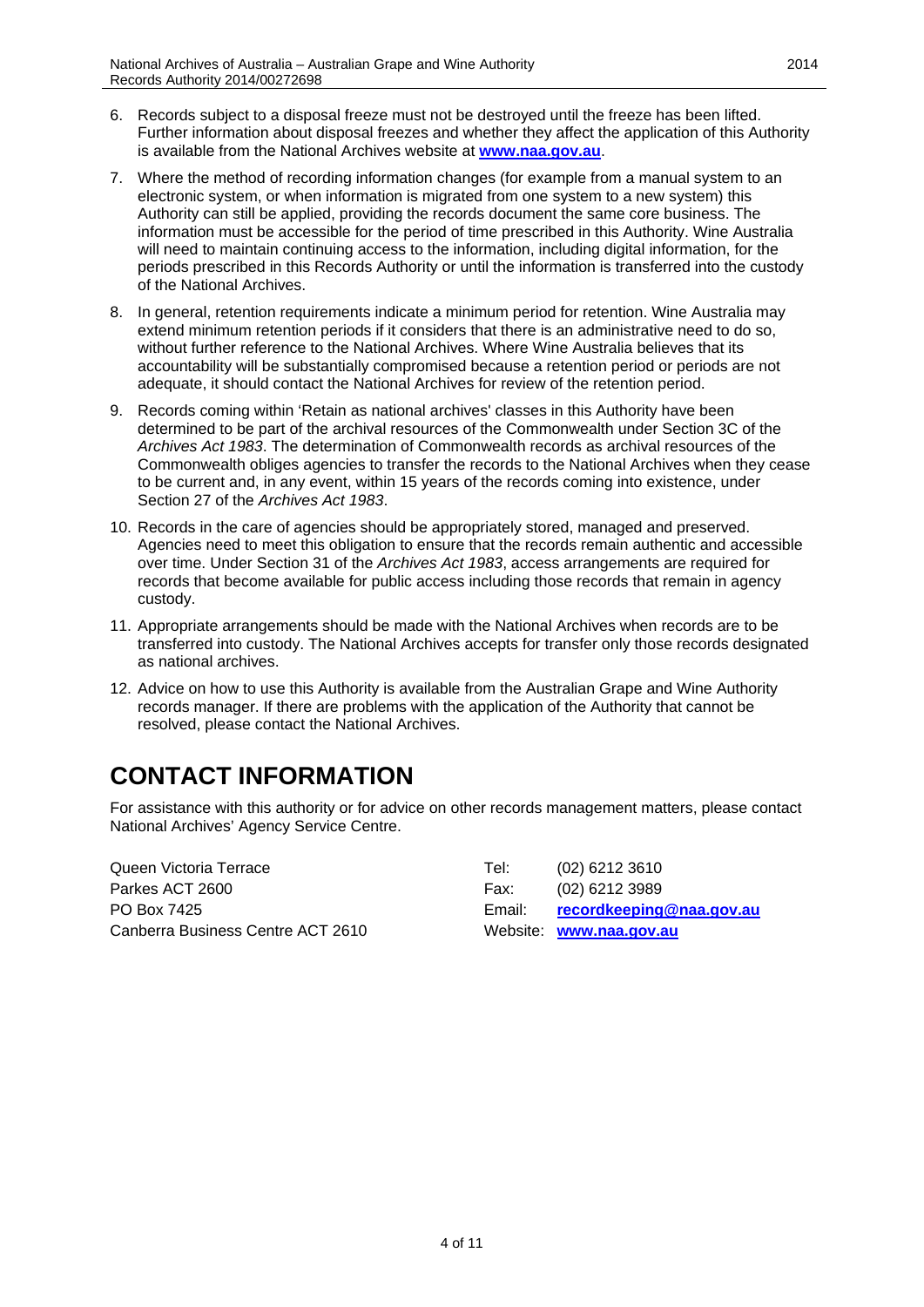- 6. Records subject to a disposal freeze must not be destroyed until the freeze has been lifted. Further information about disposal freezes and whether they affect the application of this Authority is available from the National Archives website at **[www.naa.gov.au](http://www.naa.gov.au/)**.
- 7. Where the method of recording information changes (for example from a manual system to an electronic system, or when information is migrated from one system to a new system) this Authority can still be applied, providing the records document the same core business. The information must be accessible for the period of time prescribed in this Authority. Wine Australia will need to maintain continuing access to the information, including digital information, for the periods prescribed in this Records Authority or until the information is transferred into the custody of the National Archives.
- 8. In general, retention requirements indicate a minimum period for retention. Wine Australia may extend minimum retention periods if it considers that there is an administrative need to do so, without further reference to the National Archives. Where Wine Australia believes that its accountability will be substantially compromised because a retention period or periods are not adequate, it should contact the National Archives for review of the retention period.
- 9. Records coming within 'Retain as national archives' classes in this Authority have been determined to be part of the archival resources of the Commonwealth under Section 3C of the *Archives Act 1983*. The determination of Commonwealth records as archival resources of the Commonwealth obliges agencies to transfer the records to the National Archives when they cease to be current and, in any event, within 15 years of the records coming into existence, under Section 27 of the *Archives Act 1983*.
- 10. Records in the care of agencies should be appropriately stored, managed and preserved. Agencies need to meet this obligation to ensure that the records remain authentic and accessible over time. Under Section 31 of the *Archives Act 1983*, access arrangements are required for records that become available for public access including those records that remain in agency custody.
- 11. Appropriate arrangements should be made with the National Archives when records are to be transferred into custody. The National Archives accepts for transfer only those records designated as national archives.
- 12. Advice on how to use this Authority is available from the Australian Grape and Wine Authority records manager. If there are problems with the application of the Authority that cannot be resolved, please contact the National Archives.

# <span id="page-3-0"></span>**CONTACT INFORMATION**

For assistance with this authority or for advice on other records management matters, please contact National Archives' Agency Service Centre.

| Queen Victoria Terrace            | Tel:   | $(02)$ 6212 3610         |
|-----------------------------------|--------|--------------------------|
| Parkes ACT 2600                   | Fax:   | $(02)$ 6212 3989         |
| PO Box 7425                       | Email: | recordkeeping@naa.gov.au |
| Canberra Business Centre ACT 2610 |        | Website: www.naa.gov.au  |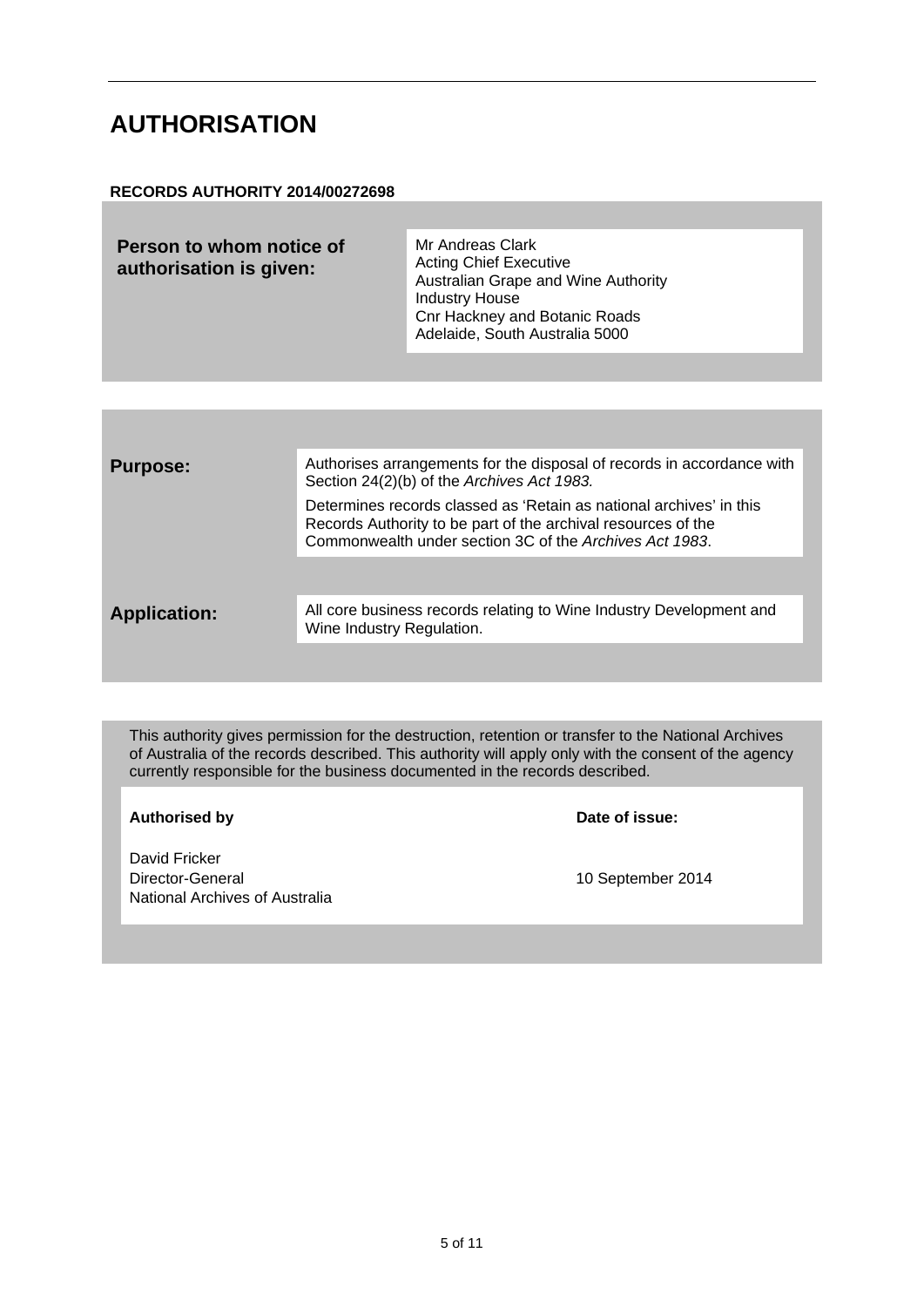#### <span id="page-4-0"></span>**AUTHORISATION**

#### **RECORDS AUTHORITY 2014/00272698**

| Mr Andreas Clark<br>Person to whom notice of<br><b>Acting Chief Executive</b><br>authorisation is given:<br>Australian Grape and Wine Authority<br><b>Industry House</b><br><b>Cnr Hackney and Botanic Roads</b><br>Adelaide, South Australia 5000 |  |
|----------------------------------------------------------------------------------------------------------------------------------------------------------------------------------------------------------------------------------------------------|--|
|----------------------------------------------------------------------------------------------------------------------------------------------------------------------------------------------------------------------------------------------------|--|

| <b>Purpose:</b>     | Authorises arrangements for the disposal of records in accordance with<br>Section 24(2)(b) of the Archives Act 1983.                                                                            |
|---------------------|-------------------------------------------------------------------------------------------------------------------------------------------------------------------------------------------------|
|                     | Determines records classed as 'Retain as national archives' in this<br>Records Authority to be part of the archival resources of the<br>Commonwealth under section 3C of the Archives Act 1983. |
|                     |                                                                                                                                                                                                 |
| <b>Application:</b> | All core business records relating to Wine Industry Development and<br>Wine Industry Regulation.                                                                                                |
|                     |                                                                                                                                                                                                 |

This authority gives permission for the destruction, retention or transfer to the National Archives of Australia of the records described. This authority will apply only with the consent of the agency currently responsible for the business documented in the records described.

**Authorised by Date of issue:**

David Fricker<br>Director-General National Archives of Australia

10 September 2014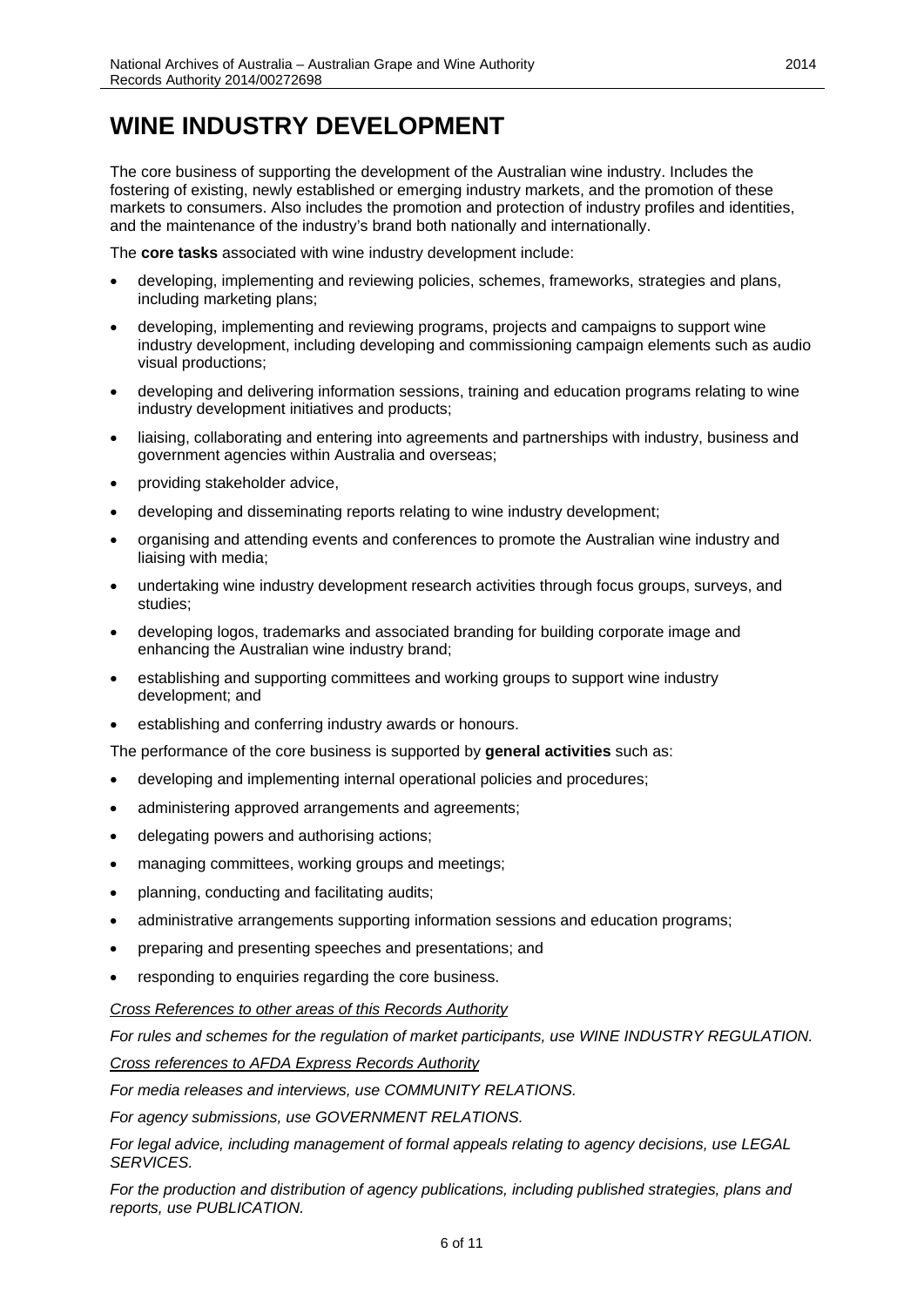#### <span id="page-5-0"></span>**WINE INDUSTRY DEVELOPMENT**

The core business of supporting the development of the Australian wine industry. Includes the fostering of existing, newly established or emerging industry markets, and the promotion of these markets to consumers. Also includes the promotion and protection of industry profiles and identities, and the maintenance of the industry's brand both nationally and internationally.

The **core tasks** associated with wine industry development include:

- developing, implementing and reviewing policies, schemes, frameworks, strategies and plans, including marketing plans;
- developing, implementing and reviewing programs, projects and campaigns to support wine industry development, including developing and commissioning campaign elements such as audio visual productions;
- developing and delivering information sessions, training and education programs relating to wine industry development initiatives and products;
- liaising, collaborating and entering into agreements and partnerships with industry, business and government agencies within Australia and overseas;
- providing stakeholder advice,
- developing and disseminating reports relating to wine industry development;
- organising and attending events and conferences to promote the Australian wine industry and liaising with media;
- undertaking wine industry development research activities through focus groups, surveys, and studies;
- developing logos, trademarks and associated branding for building corporate image and enhancing the Australian wine industry brand;
- establishing and supporting committees and working groups to support wine industry development; and
- establishing and conferring industry awards or honours.

The performance of the core business is supported by **general activities** such as:

- developing and implementing internal operational policies and procedures;
- administering approved arrangements and agreements;
- delegating powers and authorising actions;
- managing committees, working groups and meetings;
- planning, conducting and facilitating audits;
- administrative arrangements supporting information sessions and education programs;
- preparing and presenting speeches and presentations; and
- responding to enquiries regarding the core business.

#### *Cross References to other areas of this Records Authority*

*For rules and schemes for the regulation of market participants, use WINE INDUSTRY REGULATION.*

*Cross references to AFDA Express Records Authority*

*For media releases and interviews, use COMMUNITY RELATIONS.*

*For agency submissions, use GOVERNMENT RELATIONS.*

*For legal advice, including management of formal appeals relating to agency decisions, use LEGAL SERVICES.*

*For the production and distribution of agency publications, including published strategies, plans and reports, use PUBLICATION.*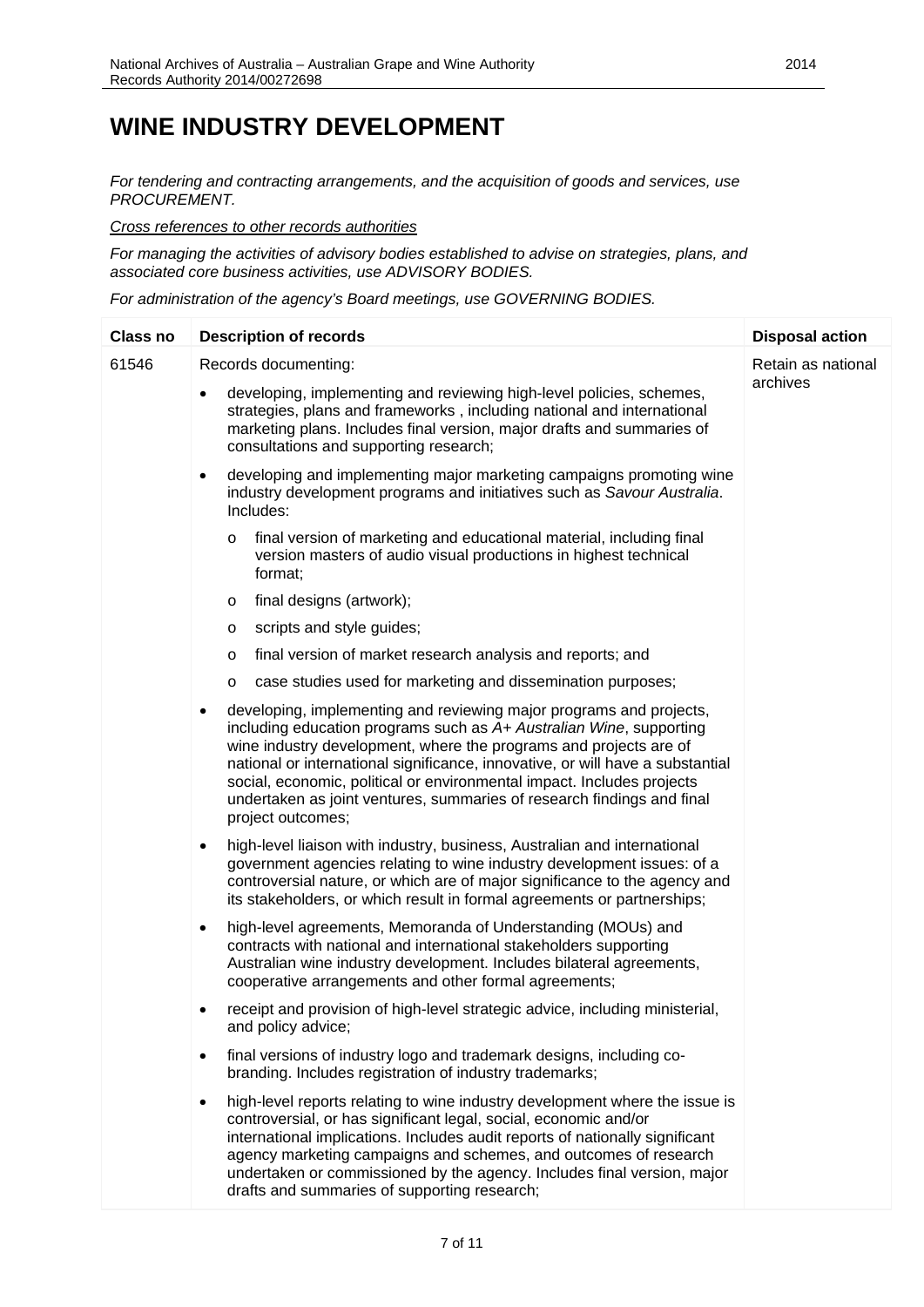#### **WINE INDUSTRY DEVELOPMENT**

*For tendering and contracting arrangements, and the acquisition of goods and services, use PROCUREMENT.*

*Cross references to other records authorities*

*For managing the activities of advisory bodies established to advise on strategies, plans, and associated core business activities, use ADVISORY BODIES.*

*For administration of the agency's Board meetings, use GOVERNING BODIES.*

| <b>Class no</b> | <b>Description of records</b>                                                                                                                                                                                                                                                                                                                                                                                                                                                           | <b>Disposal action</b> |
|-----------------|-----------------------------------------------------------------------------------------------------------------------------------------------------------------------------------------------------------------------------------------------------------------------------------------------------------------------------------------------------------------------------------------------------------------------------------------------------------------------------------------|------------------------|
| 61546           | Records documenting:                                                                                                                                                                                                                                                                                                                                                                                                                                                                    | Retain as national     |
|                 | developing, implementing and reviewing high-level policies, schemes,<br>$\bullet$<br>strategies, plans and frameworks, including national and international<br>marketing plans. Includes final version, major drafts and summaries of<br>consultations and supporting research;                                                                                                                                                                                                         | archives               |
|                 | developing and implementing major marketing campaigns promoting wine<br>$\bullet$<br>industry development programs and initiatives such as Savour Australia.<br>Includes:                                                                                                                                                                                                                                                                                                               |                        |
|                 | final version of marketing and educational material, including final<br>$\circ$<br>version masters of audio visual productions in highest technical<br>format;                                                                                                                                                                                                                                                                                                                          |                        |
|                 | final designs (artwork);<br>$\circ$                                                                                                                                                                                                                                                                                                                                                                                                                                                     |                        |
|                 | scripts and style guides;<br>$\circ$                                                                                                                                                                                                                                                                                                                                                                                                                                                    |                        |
|                 | final version of market research analysis and reports; and<br>O                                                                                                                                                                                                                                                                                                                                                                                                                         |                        |
|                 | case studies used for marketing and dissemination purposes;<br>$\circ$                                                                                                                                                                                                                                                                                                                                                                                                                  |                        |
|                 | developing, implementing and reviewing major programs and projects,<br>$\bullet$<br>including education programs such as A+ Australian Wine, supporting<br>wine industry development, where the programs and projects are of<br>national or international significance, innovative, or will have a substantial<br>social, economic, political or environmental impact. Includes projects<br>undertaken as joint ventures, summaries of research findings and final<br>project outcomes; |                        |
|                 | high-level liaison with industry, business, Australian and international<br>$\bullet$<br>government agencies relating to wine industry development issues: of a<br>controversial nature, or which are of major significance to the agency and<br>its stakeholders, or which result in formal agreements or partnerships;                                                                                                                                                                |                        |
|                 | high-level agreements, Memoranda of Understanding (MOUs) and<br>$\bullet$<br>contracts with national and international stakeholders supporting<br>Australian wine industry development. Includes bilateral agreements,<br>cooperative arrangements and other formal agreements;                                                                                                                                                                                                         |                        |
|                 | receipt and provision of high-level strategic advice, including ministerial,<br>$\bullet$<br>and policy advice;                                                                                                                                                                                                                                                                                                                                                                         |                        |
|                 | final versions of industry logo and trademark designs, including co-<br>$\bullet$<br>branding. Includes registration of industry trademarks;                                                                                                                                                                                                                                                                                                                                            |                        |
|                 | high-level reports relating to wine industry development where the issue is<br>$\bullet$<br>controversial, or has significant legal, social, economic and/or<br>international implications. Includes audit reports of nationally significant<br>agency marketing campaigns and schemes, and outcomes of research<br>undertaken or commissioned by the agency. Includes final version, major<br>drafts and summaries of supporting research;                                             |                        |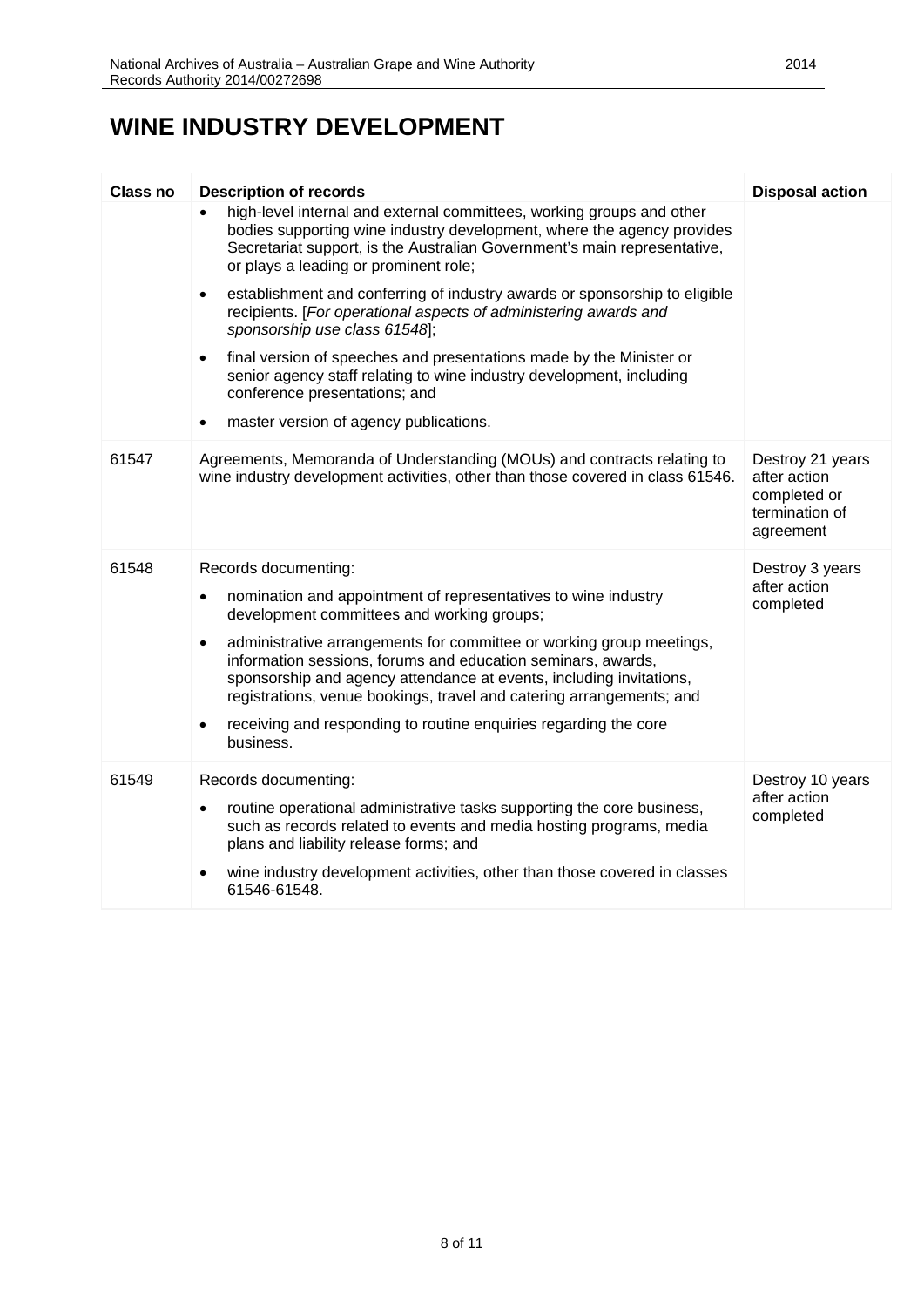#### **WINE INDUSTRY DEVELOPMENT**

| <b>Class no</b> | <b>Description of records</b>                                                                                                                                                                                                                                                                    | <b>Disposal action</b>                                                          |
|-----------------|--------------------------------------------------------------------------------------------------------------------------------------------------------------------------------------------------------------------------------------------------------------------------------------------------|---------------------------------------------------------------------------------|
|                 | high-level internal and external committees, working groups and other<br>bodies supporting wine industry development, where the agency provides<br>Secretariat support, is the Australian Government's main representative,<br>or plays a leading or prominent role;                             |                                                                                 |
|                 | establishment and conferring of industry awards or sponsorship to eligible<br>$\bullet$<br>recipients. [For operational aspects of administering awards and<br>sponsorship use class 61548];                                                                                                     |                                                                                 |
|                 | final version of speeches and presentations made by the Minister or<br>$\bullet$<br>senior agency staff relating to wine industry development, including<br>conference presentations; and                                                                                                        |                                                                                 |
|                 | master version of agency publications.<br>$\bullet$                                                                                                                                                                                                                                              |                                                                                 |
| 61547           | Agreements, Memoranda of Understanding (MOUs) and contracts relating to<br>wine industry development activities, other than those covered in class 61546.                                                                                                                                        | Destroy 21 years<br>after action<br>completed or<br>termination of<br>agreement |
| 61548           | Records documenting:                                                                                                                                                                                                                                                                             | Destroy 3 years                                                                 |
|                 | nomination and appointment of representatives to wine industry<br>$\bullet$<br>development committees and working groups;                                                                                                                                                                        | after action<br>completed                                                       |
|                 | administrative arrangements for committee or working group meetings,<br>$\bullet$<br>information sessions, forums and education seminars, awards,<br>sponsorship and agency attendance at events, including invitations,<br>registrations, venue bookings, travel and catering arrangements; and |                                                                                 |
|                 | receiving and responding to routine enquiries regarding the core<br>٠<br>business.                                                                                                                                                                                                               |                                                                                 |
| 61549           | Records documenting:                                                                                                                                                                                                                                                                             | Destroy 10 years                                                                |
|                 | routine operational administrative tasks supporting the core business,<br>$\bullet$<br>such as records related to events and media hosting programs, media<br>plans and liability release forms; and                                                                                             | after action<br>completed                                                       |
|                 | wine industry development activities, other than those covered in classes<br>$\bullet$<br>61546-61548.                                                                                                                                                                                           |                                                                                 |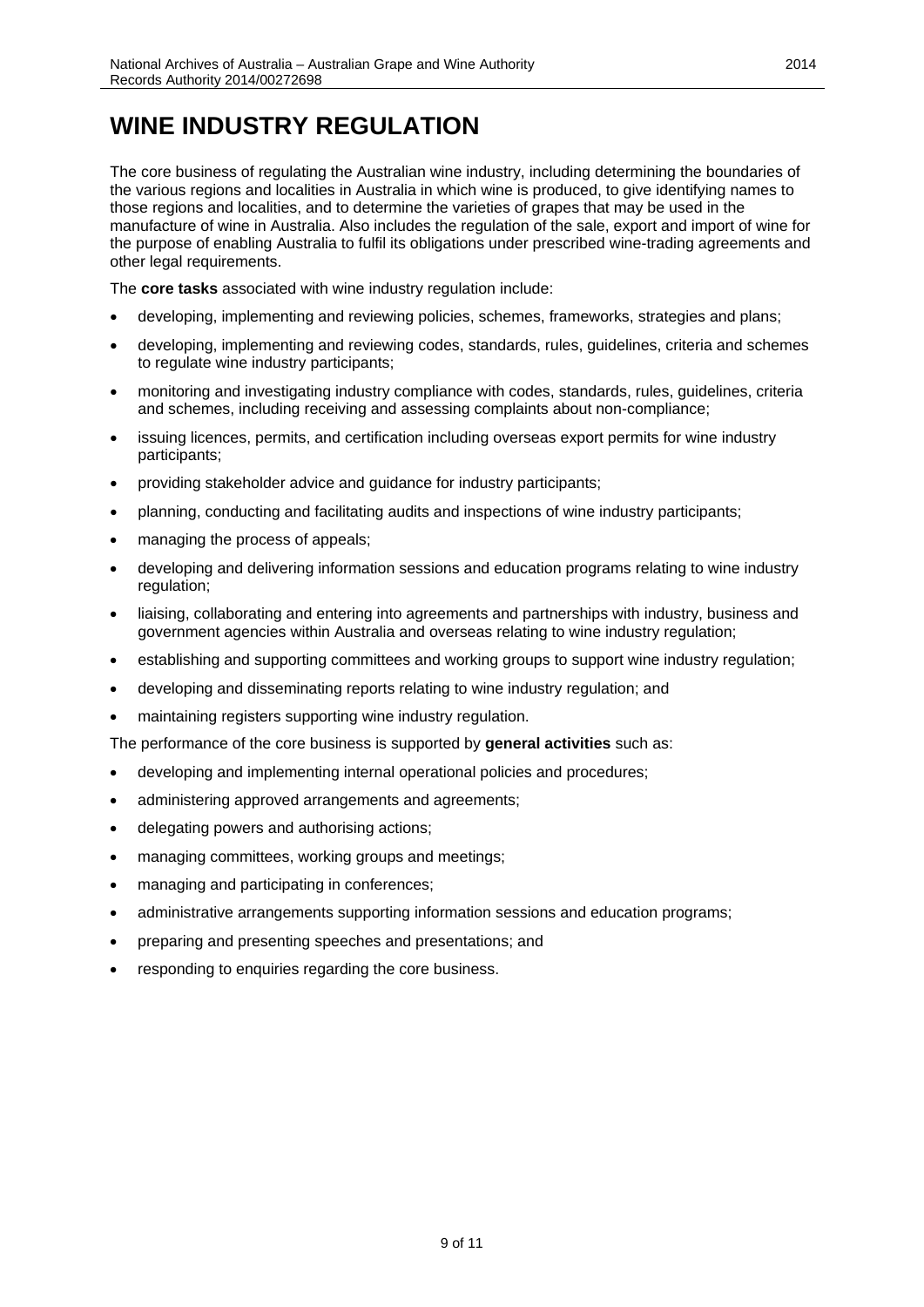## <span id="page-8-0"></span>**WINE INDUSTRY REGULATION**

The core business of regulating the Australian wine industry, including determining the boundaries of the various regions and localities in Australia in which wine is produced, to give identifying names to those regions and localities, and to determine the varieties of grapes that may be used in the manufacture of wine in Australia. Also includes the regulation of the sale, export and import of wine for the purpose of enabling Australia to fulfil its obligations under prescribed wine-trading agreements and other legal requirements.

The **core tasks** associated with wine industry regulation include:

- developing, implementing and reviewing policies, schemes, frameworks, strategies and plans;
- developing, implementing and reviewing codes, standards, rules, guidelines, criteria and schemes to regulate wine industry participants;
- monitoring and investigating industry compliance with codes, standards, rules, guidelines, criteria and schemes, including receiving and assessing complaints about non-compliance;
- issuing licences, permits, and certification including overseas export permits for wine industry participants;
- providing stakeholder advice and guidance for industry participants;
- planning, conducting and facilitating audits and inspections of wine industry participants;
- managing the process of appeals;
- developing and delivering information sessions and education programs relating to wine industry regulation;
- liaising, collaborating and entering into agreements and partnerships with industry, business and government agencies within Australia and overseas relating to wine industry regulation;
- establishing and supporting committees and working groups to support wine industry regulation;
- developing and disseminating reports relating to wine industry regulation; and
- maintaining registers supporting wine industry regulation.

The performance of the core business is supported by **general activities** such as:

- developing and implementing internal operational policies and procedures;
- administering approved arrangements and agreements;
- delegating powers and authorising actions;
- managing committees, working groups and meetings;
- managing and participating in conferences;
- administrative arrangements supporting information sessions and education programs;
- preparing and presenting speeches and presentations; and
- responding to enquiries regarding the core business.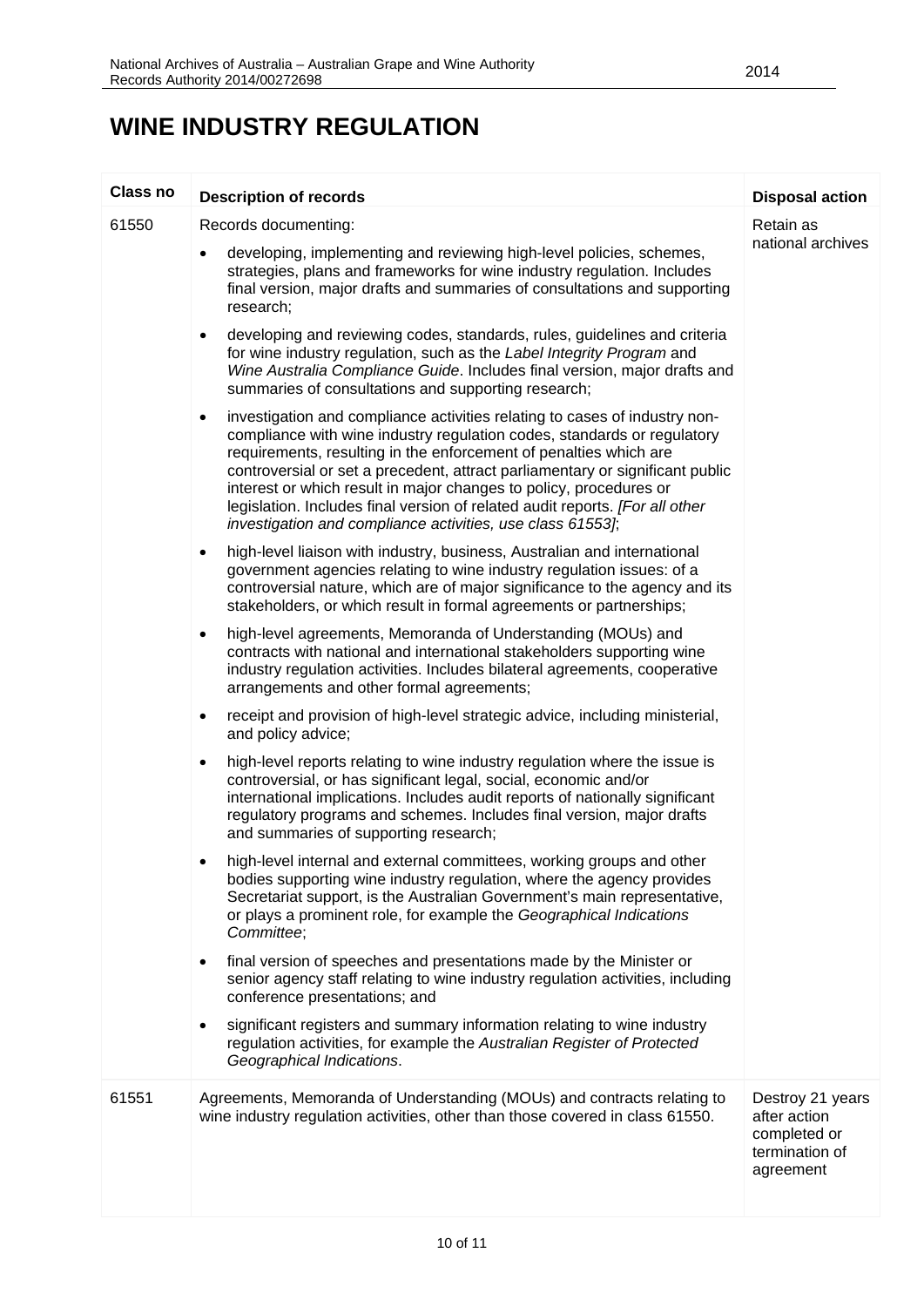### **WINE INDUSTRY REGULATION**

| Class no | <b>Description of records</b>                                                                                                                                                                                                                                                                                                                                                                                                                                                                                                                | <b>Disposal action</b>                                                          |
|----------|----------------------------------------------------------------------------------------------------------------------------------------------------------------------------------------------------------------------------------------------------------------------------------------------------------------------------------------------------------------------------------------------------------------------------------------------------------------------------------------------------------------------------------------------|---------------------------------------------------------------------------------|
| 61550    | Records documenting:                                                                                                                                                                                                                                                                                                                                                                                                                                                                                                                         | Retain as                                                                       |
|          | developing, implementing and reviewing high-level policies, schemes,<br>strategies, plans and frameworks for wine industry regulation. Includes<br>final version, major drafts and summaries of consultations and supporting<br>research;                                                                                                                                                                                                                                                                                                    | national archives                                                               |
|          | developing and reviewing codes, standards, rules, guidelines and criteria<br>$\bullet$<br>for wine industry regulation, such as the Label Integrity Program and<br>Wine Australia Compliance Guide. Includes final version, major drafts and<br>summaries of consultations and supporting research;                                                                                                                                                                                                                                          |                                                                                 |
|          | investigation and compliance activities relating to cases of industry non-<br>$\bullet$<br>compliance with wine industry regulation codes, standards or regulatory<br>requirements, resulting in the enforcement of penalties which are<br>controversial or set a precedent, attract parliamentary or significant public<br>interest or which result in major changes to policy, procedures or<br>legislation. Includes final version of related audit reports. [For all other<br>investigation and compliance activities, use class 61553]; |                                                                                 |
|          | high-level liaison with industry, business, Australian and international<br>$\bullet$<br>government agencies relating to wine industry regulation issues: of a<br>controversial nature, which are of major significance to the agency and its<br>stakeholders, or which result in formal agreements or partnerships;                                                                                                                                                                                                                         |                                                                                 |
|          | high-level agreements, Memoranda of Understanding (MOUs) and<br>$\bullet$<br>contracts with national and international stakeholders supporting wine<br>industry regulation activities. Includes bilateral agreements, cooperative<br>arrangements and other formal agreements;                                                                                                                                                                                                                                                               |                                                                                 |
|          | receipt and provision of high-level strategic advice, including ministerial,<br>$\bullet$<br>and policy advice;                                                                                                                                                                                                                                                                                                                                                                                                                              |                                                                                 |
|          | high-level reports relating to wine industry regulation where the issue is<br>$\bullet$<br>controversial, or has significant legal, social, economic and/or<br>international implications. Includes audit reports of nationally significant<br>regulatory programs and schemes. Includes final version, major drafts<br>and summaries of supporting research;                                                                                                                                                                                |                                                                                 |
|          | high-level internal and external committees, working groups and other<br>bodies supporting wine industry regulation, where the agency provides<br>Secretariat support, is the Australian Government's main representative,<br>or plays a prominent role, for example the Geographical Indications<br>Committee;                                                                                                                                                                                                                              |                                                                                 |
|          | final version of speeches and presentations made by the Minister or<br>$\bullet$<br>senior agency staff relating to wine industry regulation activities, including<br>conference presentations; and                                                                                                                                                                                                                                                                                                                                          |                                                                                 |
|          | significant registers and summary information relating to wine industry<br>$\bullet$<br>regulation activities, for example the Australian Register of Protected<br>Geographical Indications.                                                                                                                                                                                                                                                                                                                                                 |                                                                                 |
| 61551    | Agreements, Memoranda of Understanding (MOUs) and contracts relating to<br>wine industry regulation activities, other than those covered in class 61550.                                                                                                                                                                                                                                                                                                                                                                                     | Destroy 21 years<br>after action<br>completed or<br>termination of<br>agreement |